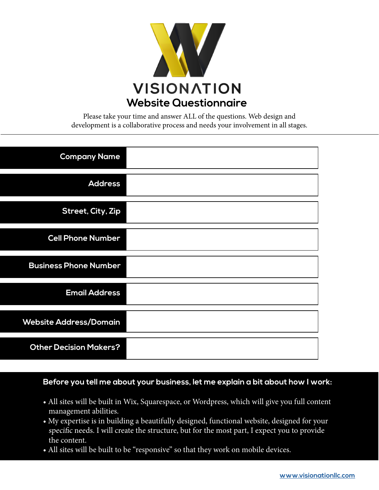

Please take your time and answer ALL of the questions. Web design and development is a collaborative process and needs your involvement in all stages.

| <b>Company Name</b>           |
|-------------------------------|
| <b>Address</b>                |
| <b>Street, City, Zip</b>      |
| <b>Cell Phone Number</b>      |
| <b>Business Phone Number</b>  |
| <b>Email Address</b>          |
| <b>Website Address/Domain</b> |
| <b>Other Decision Makers?</b> |

#### **Before you tell me about your business, let me explain a bit about how I work:**

- All sites will be built in Wix, Squarespace, or Wordpress, which will give you full content management abilities.
- My expertise is in building a beautifully designed, functional website, designed for your specific needs. I will create the structure, but for the most part, I expect you to provide the content.
- All sites will be built to be "responsive" so that they work on mobile devices.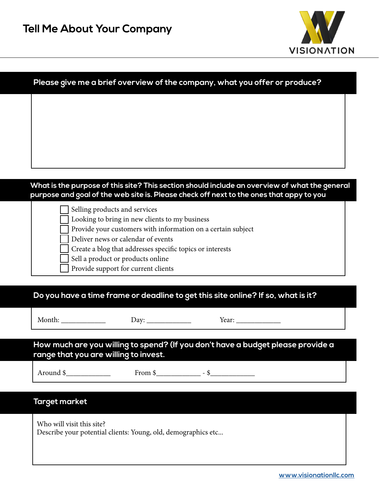

| Please give me a brief overview of the company, what you offer or produce?                                                     |
|--------------------------------------------------------------------------------------------------------------------------------|
|                                                                                                                                |
|                                                                                                                                |
|                                                                                                                                |
|                                                                                                                                |
|                                                                                                                                |
|                                                                                                                                |
|                                                                                                                                |
|                                                                                                                                |
| purpose and goal of the web site is. Please check off next to the ones that appy to you                                        |
| What is the purpose of this site? This section should include an overview of what the general<br>Selling products and services |
| Looking to bring in new clients to my business                                                                                 |
| Provide your customers with information on a certain subject                                                                   |
| Deliver news or calendar of events<br>Create a blog that addresses specific topics or interests                                |
| Sell a product or products online                                                                                              |

**Do you have a time frame or deadline to get this site online? If so, what is it?**

Month: \_\_\_\_\_\_\_\_\_\_\_\_ Day: \_\_\_\_\_\_\_\_\_\_\_\_ Year: \_\_\_\_\_\_\_\_\_\_\_\_

**How much are you willing to spend? (If you don't have a budget please provide a range that you are willing to invest.** 

Around \$\_\_\_\_\_\_\_\_\_\_\_\_

From  $\frac{\gamma}{2}$  -  $\frac{\gamma}{2}$ 

#### **Target market**

Who will visit this site? Describe your potential clients: Young, old, demographics etc...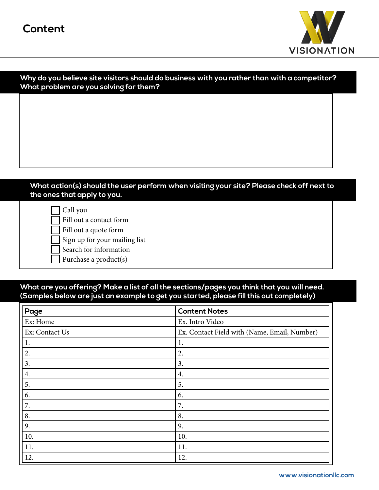

| Why do you believe site visitors should do business with you rather than with a competitor? |  |  |
|---------------------------------------------------------------------------------------------|--|--|
| What problem are you solving for them?                                                      |  |  |

#### **What action(s) should the user perform when visiting your site? Please check off next to the ones that apply to you.**

| Call you            |
|---------------------|
| $\Box$ Fill out a c |
|                     |

contact form

Fill out a quote form

Sign up for your mailing list

Search for information

Purchase a product(s)

#### **What are you offering? Make a list of all the sections/pages you think that you will need. (Samples below are just an example to get you started, please fill this out completely)**

| Page           | <b>Content Notes</b>                         |
|----------------|----------------------------------------------|
| Ex: Home       | Ex. Intro Video                              |
| Ex: Contact Us | Ex. Contact Field with (Name, Email, Number) |
| 1.             | 1.                                           |
| 2.             | 2.                                           |
| 3.             | 3.                                           |
| 4.             | 4.                                           |
| 5.             | 5.                                           |
| 6.<br>6.       |                                              |
| 7.<br>7.       |                                              |
| 8.             | 8.                                           |
| 9.             | 9.                                           |
| 10.            | 10.                                          |
| 11.            | 11.                                          |
| 12.            | 12.                                          |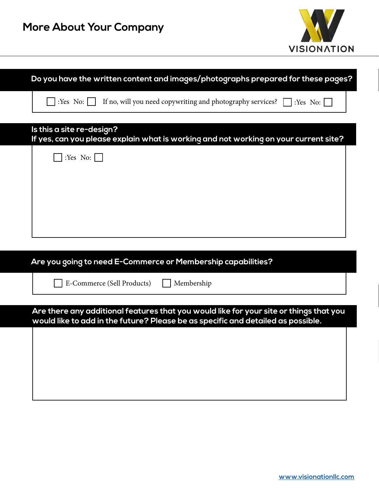| <b>VISIONATION</b>                                                                   |
|--------------------------------------------------------------------------------------|
|                                                                                      |
| Do you have the written content and images/photographs prepared for these pages?     |
| If no, will you need copywriting and photography services? $\Box$ : Yes No: $\Box$   |
| If yes, can you please explain what is working and not working on your current site? |
|                                                                                      |
|                                                                                      |
|                                                                                      |
|                                                                                      |
|                                                                                      |
|                                                                                      |
| Are you going to need E-Commerce or Membership capabilities?                         |
|                                                                                      |
|                                                                                      |
|                                                                                      |

**Maria**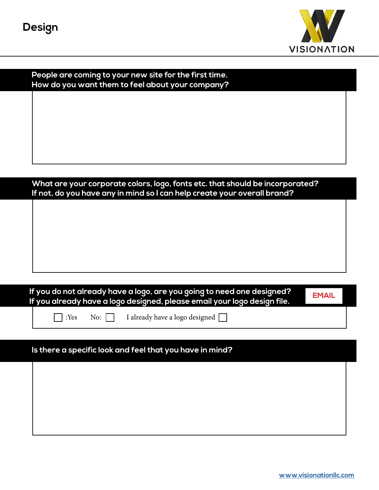

| People are coming to your new site for the first time.<br>How do you want them to feel about your company? |  |
|------------------------------------------------------------------------------------------------------------|--|
|                                                                                                            |  |
|                                                                                                            |  |
|                                                                                                            |  |
|                                                                                                            |  |
|                                                                                                            |  |
|                                                                                                            |  |
|                                                                                                            |  |
|                                                                                                            |  |
| What are your corporate colors, logo, fonts etc. that should be incorporated?                              |  |
|                                                                                                            |  |
| If not, do you have any in mind so I can help create your overall brand?                                   |  |
|                                                                                                            |  |
|                                                                                                            |  |
|                                                                                                            |  |
|                                                                                                            |  |
|                                                                                                            |  |
|                                                                                                            |  |

| If you do not already have a logo, are you going to need one designed? $_\mathrm{I}$ | <b>EMAIL</b> |
|--------------------------------------------------------------------------------------|--------------|
| If you already have a logo designed, please email your logo design file. [           |              |

**No:** T

I already have a logo designed  $\hfill\Box$ 

## **Is there a specific look and feel that you have in mind?**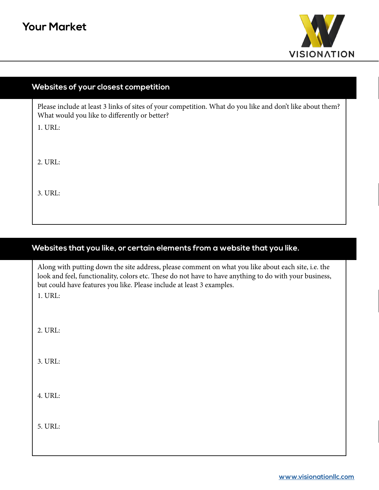

#### **Websites of your closest competition**

Please include at least 3 links of sites of your competition. What do you like and don't like about them? What would you like to differently or better?

1. URL:

2. URL:

3. URL:

#### **Websites that you like, or certain elements from a website that you like.**

Along with putting down the site address, please comment on what you like about each site, i.e. the look and feel, functionality, colors etc. These do not have to have anything to do with your business, but could have features you like. Please include at least 3 examples.

1. URL:

2. URL:

3. URL:

4. URL:

5. URL: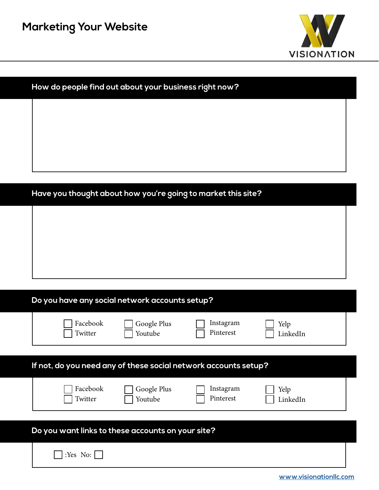

| How do people find out about your business right now? |  |  |  |  |  |
|-------------------------------------------------------|--|--|--|--|--|
|                                                       |  |  |  |  |  |
|                                                       |  |  |  |  |  |
|                                                       |  |  |  |  |  |
|                                                       |  |  |  |  |  |
|                                                       |  |  |  |  |  |

# **Have you thought about how you're going to market this site?**

|  | Do you have any social network accounts setup? |  |
|--|------------------------------------------------|--|
|--|------------------------------------------------|--|

 $\mathbf{I}$ 

|                                                                 | Facebook<br>Twitter | Google Plus<br>Youtube | Instagram<br>Pinterest | Yelp<br>LinkedIn |  |  |
|-----------------------------------------------------------------|---------------------|------------------------|------------------------|------------------|--|--|
| If not, do you need any of these social network accounts setup? |                     |                        |                        |                  |  |  |

| Facebook<br>Twitter | Google Plus<br>Youtube | Instagram<br>Pinterest | Yelp<br>LinkedIn |  |
|---------------------|------------------------|------------------------|------------------|--|
|                     |                        | ∽<br>. .               |                  |  |

| Do you want links to these accounts on your site? |  |  |  |  |  |
|---------------------------------------------------|--|--|--|--|--|
| $\bigcap$ :Yes No: $\bigcap$                      |  |  |  |  |  |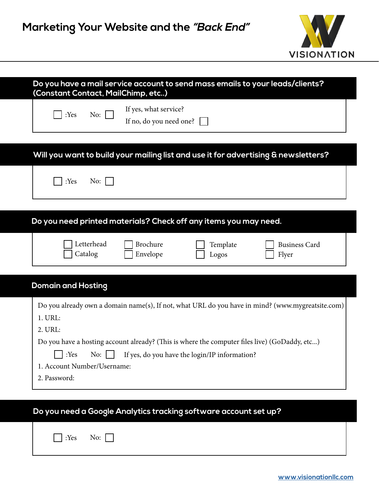

| Do you have a mail service account to send mass emails to your leads/clients?<br>(Constant Contact, MailChimp, etc)                                                                                                                                                                                |  |  |  |  |  |  |
|----------------------------------------------------------------------------------------------------------------------------------------------------------------------------------------------------------------------------------------------------------------------------------------------------|--|--|--|--|--|--|
| If yes, what service?<br>No: $\Box$<br>:Yes<br>If no, do you need one?                                                                                                                                                                                                                             |  |  |  |  |  |  |
| Will you want to build your mailing list and use it for advertising & newsletters?                                                                                                                                                                                                                 |  |  |  |  |  |  |
| :Yes<br>No: $\vert$                                                                                                                                                                                                                                                                                |  |  |  |  |  |  |
| Do you need printed materials? Check off any items you may need.                                                                                                                                                                                                                                   |  |  |  |  |  |  |
| Letterhead<br><b>Brochure</b><br>Template<br><b>Business Card</b><br>Catalog<br>Envelope<br>Flyer<br>Logos                                                                                                                                                                                         |  |  |  |  |  |  |
| <b>Domain and Hosting</b>                                                                                                                                                                                                                                                                          |  |  |  |  |  |  |
| Do you already own a domain name(s), If not, what URL do you have in mind? (www.mygreatsite.com)<br>1. URL:<br>2. URL:<br>Do you have a hosting account already? (This is where the computer files live) (GoDaddy, etc)<br>No: $\Box$ If yes, do you have the login/IP information?<br>$\Box$ :Yes |  |  |  |  |  |  |
| 1. Account Number/Username:<br>2. Password:                                                                                                                                                                                                                                                        |  |  |  |  |  |  |
| Do you need a Google Analytics tracking software account set up?                                                                                                                                                                                                                                   |  |  |  |  |  |  |
| :Yes<br>No:                                                                                                                                                                                                                                                                                        |  |  |  |  |  |  |